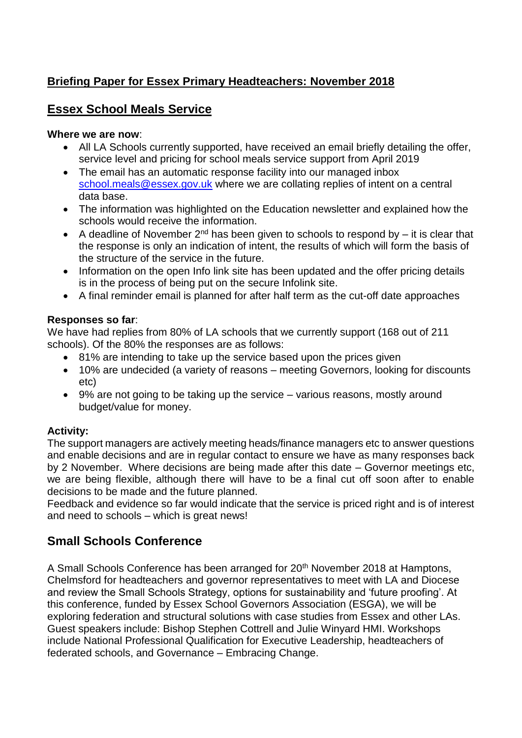## **Briefing Paper for Essex Primary Headteachers: November 2018**

### **Essex School Meals Service**

#### **Where we are now**:

- All LA Schools currently supported, have received an email briefly detailing the offer, service level and pricing for school meals service support from April 2019
- The email has an automatic response facility into our managed inbox [school.meals@essex.gov.uk](mailto:school.meals@essex.gov.uk) where we are collating replies of intent on a central data base.
- The information was highlighted on the Education newsletter and explained how the schools would receive the information.
- A deadline of November  $2^{nd}$  has been given to schools to respond by it is clear that the response is only an indication of intent, the results of which will form the basis of the structure of the service in the future.
- Information on the open Info link site has been updated and the offer pricing details is in the process of being put on the secure Infolink site.
- A final reminder email is planned for after half term as the cut-off date approaches

#### **Responses so far**:

We have had replies from 80% of LA schools that we currently support (168 out of 211 schools). Of the 80% the responses are as follows:

- 81% are intending to take up the service based upon the prices given
- 10% are undecided (a variety of reasons meeting Governors, looking for discounts etc)
- 9% are not going to be taking up the service various reasons, mostly around budget/value for money.

### **Activity:**

The support managers are actively meeting heads/finance managers etc to answer questions and enable decisions and are in regular contact to ensure we have as many responses back by 2 November. Where decisions are being made after this date – Governor meetings etc, we are being flexible, although there will have to be a final cut off soon after to enable decisions to be made and the future planned.

Feedback and evidence so far would indicate that the service is priced right and is of interest and need to schools – which is great news!

## **Small Schools Conference**

A Small Schools Conference has been arranged for 20<sup>th</sup> November 2018 at Hamptons, Chelmsford for headteachers and governor representatives to meet with LA and Diocese and review the Small Schools Strategy, options for sustainability and 'future proofing'. At this conference, funded by Essex School Governors Association (ESGA), we will be exploring federation and structural solutions with case studies from Essex and other LAs. Guest speakers include: Bishop Stephen Cottrell and Julie Winyard HMI. Workshops include National Professional Qualification for Executive Leadership, headteachers of federated schools, and Governance – Embracing Change.